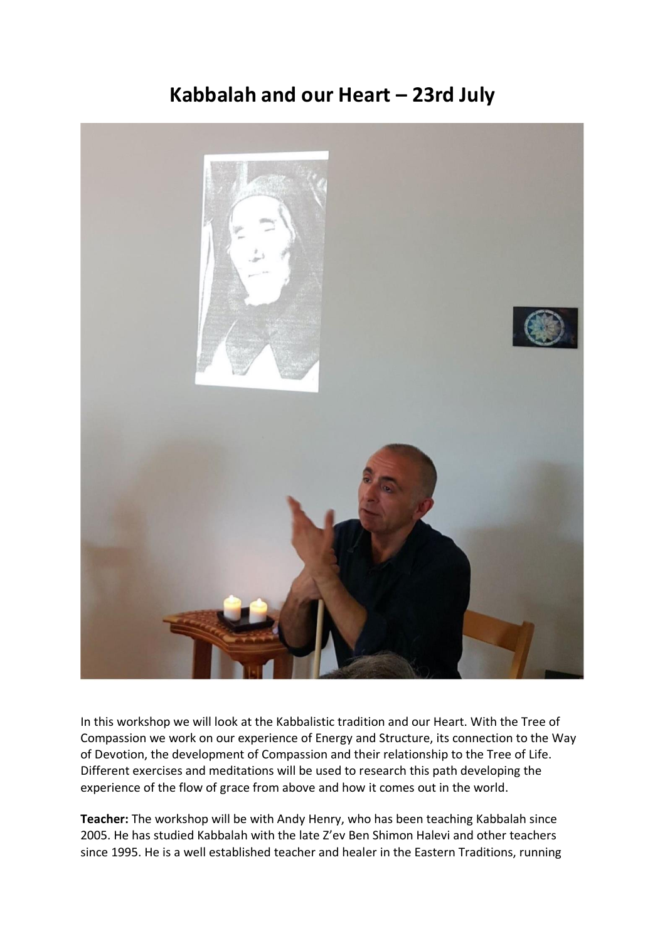## **Kabbalah and our Heart – 23rd July**



In this workshop we will look at the Kabbalistic tradition and our Heart. With the Tree of Compassion we work on our experience of Energy and Structure, its connection to the Way of Devotion, the development of Compassion and their relationship to the Tree of Life. Different exercises and meditations will be used to research this path developing the experience of the flow of grace from above and how it comes out in the world.

**Teacher:** The workshop will be with Andy Henry, who has been teaching Kabbalah since 2005. He has studied Kabbalah with the late Z'ev Ben Shimon Halevi and other teachers since 1995. He is a well established teacher and healer in the Eastern Traditions, running